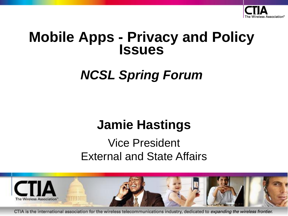

## **Mobile Apps - Privacy and Policy Issues**

# *NCSL Spring Forum*

# **Jamie Hastings**

## Vice President External and State Affairs



CTIA is the international association for the wireless telecommunications industry, dedicated to expanding the wireless frontier.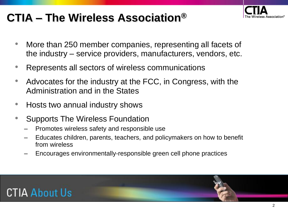## **CTIA – The Wireless Association®**

- ess Association®
- More than 250 member companies, representing all facets of the industry – service providers, manufacturers, vendors, etc.
- Represents all sectors of wireless communications
- Advocates for the industry at the FCC, in Congress, with the Administration and in the States
- Hosts two annual industry shows
- Supports The Wireless Foundation
	- Promotes wireless safety and responsible use
	- Educates children, parents, teachers, and policymakers on how to benefit from wireless
	- Encourages environmentally-responsible green cell phone practices

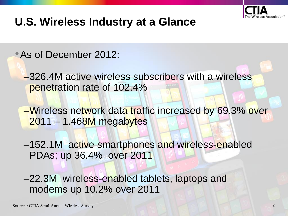

#### **U.S. Wireless Industry at a Glance**

•As of December 2012:

–326.4M active wireless subscribers with a wireless penetration rate of 102.4%

–Wireless network data traffic increased by 69.3% over 2011 – 1.468M megabytes

–152.1M active smartphones and wireless-enabled PDAs; up 36.4% over 2011

–22.3M wireless-enabled tablets, laptops and modems up 10.2% over 2011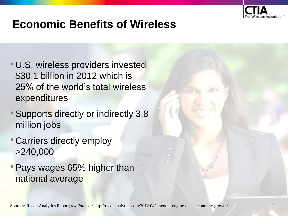

#### **Economic Benefits of Wireless**

- •U.S. wireless providers invested \$30.1 billion in 2012 which is 25% of the world's total wireless expenditures
- •Supports directly or indirectly 3.8 million jobs
- •Carriers directly employ >240,000
- Pays wages 65% higher than national average

Sources**:** Recon Analytics Report; *available at:* http://reconanalytics.com/2012/04/essential-engine-of-us-economic-growth/ 4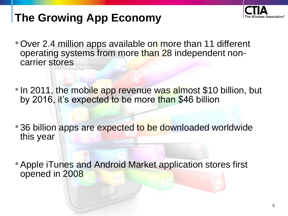

## **The Growing App Economy**

- Over 2.4 million apps available on more than 11 different operating systems from more than 28 independent noncarrier stores
- In 2011, the mobile app revenue was almost \$10 billion, but by 2016, it's expected to be more than \$46 billion
- 36 billion apps are expected to be downloaded worldwide this year
- Apple iTunes and Android Market application stores first opened in 2008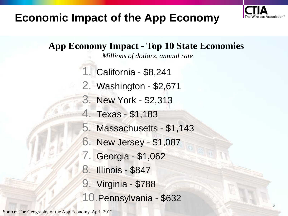

#### **Economic Impact of the App Economy**

**App Economy Impact - Top 10 State Economies**

*Millions of dollars, annual rate*

- 1. California \$8,241
- 2. Washington \$2,671
- 3. New York \$2,313
- 4. Texas \$1,183
- 5. Massachusetts \$1,143
- 6. New Jersey \$1,087
- 7. Georgia \$1,062
- 8. Illinois \$847
- 9. Virginia \$788
- 10.Pennsylvania \$632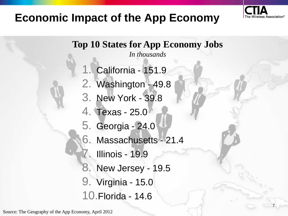

7

#### **Economic Impact of the App Economy**

**Top 10 States for App Economy Jobs**

*In thousands*

- California 151.9
- 2. Washington 49.8
- 3. New York 39.8
- 4. Texas 25.0
- 5. Georgia 24.0
- 6. Massachusetts 21.4
- **Illinois 19.9**
- 8. New Jersey 19.5
- 9. Virginia 15.0
- 10.Florida 14.6

Source: The Geography of the App Economy, April 2012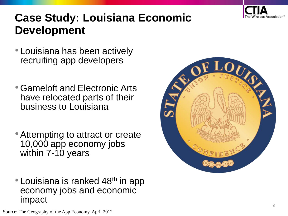

### **Case Study: Louisiana Economic Development**

- •Louisiana has been actively recruiting app developers
- •Gameloft and Electronic Arts have relocated parts of their business to Louisiana
- •Attempting to attract or create 10,000 app economy jobs within 7-10 years
- Louisiana is ranked 48<sup>th</sup> in app economy jobs and economic impact

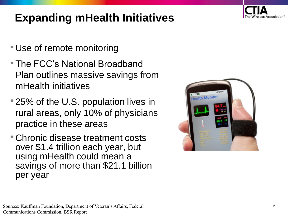

## **Expanding mHealth Initiatives**

- •Use of remote monitoring
- •The FCC's National Broadband Plan outlines massive savings from mHealth initiatives
- 25% of the U.S. population lives in rural areas, only 10% of physicians practice in these areas
- •Chronic disease treatment costs over \$1.4 trillion each year, but using mHealth could mean a savings of more than \$21.1 billion per year

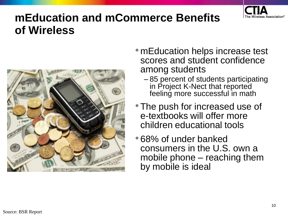

#### **mEducation and mCommerce Benefits of Wireless**



- mEducation helps increase test scores and student confidence among students
	- 85 percent of students participating in Project K-Nect that reported feeling more successful in math
- The push for increased use of e-textbooks will offer more children educational tools
- •68% of under banked consumers in the U.S. own a mobile phone – reaching them by mobile is ideal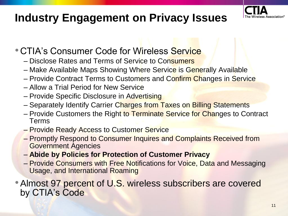### **Industry Engagement on Privacy Issues**



#### **• CTIA's Consumer Code for Wireless Service**

- Disclose Rates and Terms of Service to Consumers
- Make Available Maps Showing Where Service is Generally Available
- Provide Contract Terms to Customers and Confirm Changes in Service
- Allow a Trial Period for New Service
- Provide Specific Disclosure in Advertising
- Separately Identify Carrier Charges from Taxes on Billing Statements
- Provide Customers the Right to Terminate Service for Changes to Contract Terms
- Provide Ready Access to Customer Service
- Promptly Respond to Consumer Inquires and Complaints Received from Government Agencies
- **Abide by Policies for Protection of Customer Privacy**
- Provide Consumers with Free Notifications for Voice, Data and Messaging Usage, and International Roaming

• Almost 97 percent of U.S. wireless subscribers are covered by CTIA's Code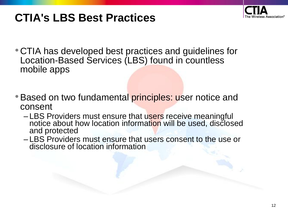

## **CTIA's LBS Best Practices**

- •CTIA has developed best practices and guidelines for Location-Based Services (LBS) found in countless mobile apps
- Based on two fundamental principles: user notice and consent
	- LBS Providers must ensure that users receive meaningful notice about how location information will be used, disclosed and protected
	- LBS Providers must ensure that users consent to the use or disclosure of location information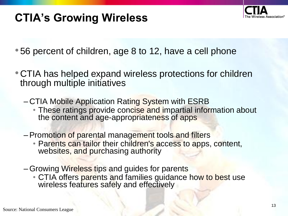

## **CTIA's Growing Wireless**

- •56 percent of children, age 8 to 12, have a cell phone
- •CTIA has helped expand wireless protections for children through multiple initiatives
	- CTIA Mobile Application Rating System with ESRB
		- These ratings provide concise and impartial information about the content and age-appropriateness of apps
	- –Promotion of parental management tools and filters
		- Parents can tailor their children's access to apps, content, websites, and purchasing authority
	- –Growing Wireless tips and guides for parents
		- CTIA offers parents and families guidance how to best use wireless features safely and effectively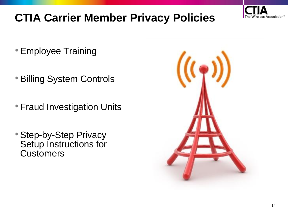

## **CTIA Carrier Member Privacy Policies**

- •Employee Training
- •Billing System Controls
- •Fraud Investigation Units
- •Step-by-Step Privacy Setup Instructions for **Customers**

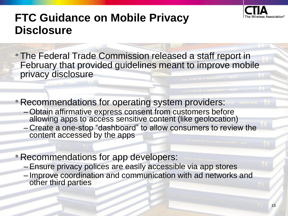

#### **FTC Guidance on Mobile Privacy Disclosure**

- •The Federal Trade Commission released a staff report in February that provided guidelines meant to improve mobile privacy disclosure WITHOUT TO TEAMSFERADILITY - MALEE
- •Recommendations for operating system providers:
	- –Obtain affirmative express consent from customers before allowing apps to access sensitive content (like geolocation)
	- Create a one-stop "dashboard" to allow consumers to review the content accessed by the apps
- •Recommendations for app developers:
	- –Ensure privacy polices are easily accessible via app stores
	- Improve coordination and communication with ad networks and other third parties